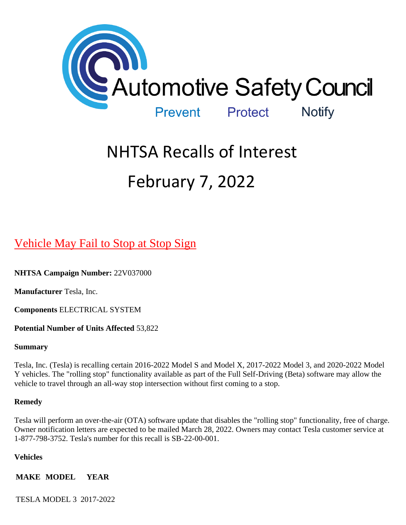

# NHTSA Recalls of Interest February 7, 2022

# [Vehicle May Fail to Stop at Stop Sign](https://www.nhtsa.gov/recalls?nhtsaId=22V037#recalls530)

**NHTSA Campaign Number:** 22V037000

**Manufacturer** Tesla, Inc.

**Components** ELECTRICAL SYSTEM

**Potential Number of Units Affected** 53,822

#### **Summary**

Tesla, Inc. (Tesla) is recalling certain 2016-2022 Model S and Model X, 2017-2022 Model 3, and 2020-2022 Model Y vehicles. The "rolling stop" functionality available as part of the Full Self-Driving (Beta) software may allow the vehicle to travel through an all-way stop intersection without first coming to a stop.

#### **Remedy**

Tesla will perform an over-the-air (OTA) software update that disables the "rolling stop" functionality, free of charge. Owner notification letters are expected to be mailed March 28, 2022. Owners may contact Tesla customer service at 1-877-798-3752. Tesla's number for this recall is SB-22-00-001.

#### **Vehicles**

**MAKE MODEL YEAR**

TESLA MODEL 3 2017-2022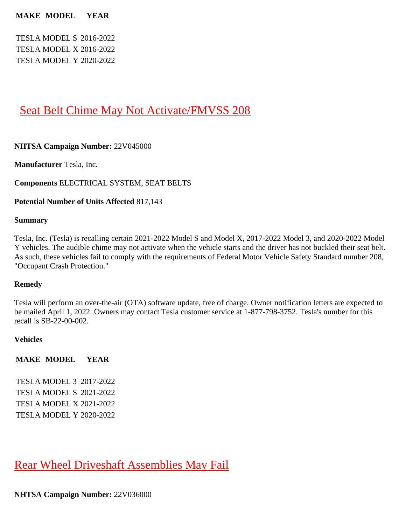#### **MAKE MODEL YEAR**

TESLA MODEL S 2016-2022 TESLA MODEL X 2016-2022 TESLA MODEL Y 2020-2022

# [Seat Belt Chime May Not Activate/FMVSS 208](https://www.nhtsa.gov/recalls?nhtsaId=22V045#recalls530)

#### **NHTSA Campaign Number:** 22V045000

**Manufacturer** Tesla, Inc.

**Components** ELECTRICAL SYSTEM, SEAT BELTS

#### **Potential Number of Units Affected** 817,143

#### **Summary**

Tesla, Inc. (Tesla) is recalling certain 2021-2022 Model S and Model X, 2017-2022 Model 3, and 2020-2022 Model Y vehicles. The audible chime may not activate when the vehicle starts and the driver has not buckled their seat belt. As such, these vehicles fail to comply with the requirements of Federal Motor Vehicle Safety Standard number 208, "Occupant Crash Protection."

#### **Remedy**

Tesla will perform an over-the-air (OTA) software update, free of charge. Owner notification letters are expected to be mailed April 1, 2022. Owners may contact Tesla customer service at 1-877-798-3752. Tesla's number for this recall is SB-22-00-002.

#### **Vehicles**

**MAKE MODEL YEAR**

TESLA MODEL 3 2017-2022 TESLA MODEL S 2021-2022 TESLA MODEL X 2021-2022 TESLA MODEL Y 2020-2022

[Rear Wheel Driveshaft Assemblies May Fail](https://www.nhtsa.gov/recalls?nhtsaId=22V036#recalls530)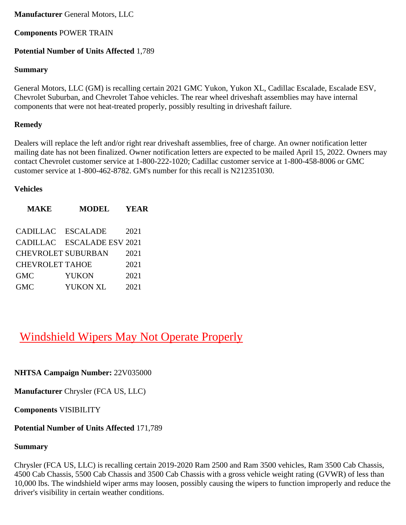#### **Manufacturer** General Motors, LLC

## **Components** POWER TRAIN

## **Potential Number of Units Affected** 1,789

## **Summary**

General Motors, LLC (GM) is recalling certain 2021 GMC Yukon, Yukon XL, Cadillac Escalade, Escalade ESV, Chevrolet Suburban, and Chevrolet Tahoe vehicles. The rear wheel driveshaft assemblies may have internal components that were not heat-treated properly, possibly resulting in driveshaft failure.

## **Remedy**

Dealers will replace the left and/or right rear driveshaft assemblies, free of charge. An owner notification letter mailing date has not been finalized. Owner notification letters are expected to be mailed April 15, 2022. Owners may contact Chevrolet customer service at 1-800-222-1020; Cadillac customer service at 1-800-458-8006 or GMC customer service at 1-800-462-8782. GM's number for this recall is N212351030.

#### **Vehicles**

| <b>MAKE</b>               | <b>MODEL</b>               | YEAR |
|---------------------------|----------------------------|------|
|                           |                            |      |
| CADILLAC ESCALADE         |                            | 2021 |
|                           | CADILLAC ESCALADE ESV 2021 |      |
| <b>CHEVROLET SUBURBAN</b> |                            | 2021 |
| <b>CHEVROLET TAHOE</b>    |                            | 2021 |
| <b>GMC</b>                | <b>YUKON</b>               | 2021 |
| <b>GMC</b>                | <b>YUKON XL</b>            | 2021 |

# [Windshield Wipers May Not Operate Properly](https://www.nhtsa.gov/recalls?nhtsaId=22V035#recalls530)

**NHTSA Campaign Number:** 22V035000

**Manufacturer** Chrysler (FCA US, LLC)

**Components** VISIBILITY

## **Potential Number of Units Affected** 171,789

## **Summary**

Chrysler (FCA US, LLC) is recalling certain 2019-2020 Ram 2500 and Ram 3500 vehicles, Ram 3500 Cab Chassis, 4500 Cab Chassis, 5500 Cab Chassis and 3500 Cab Chassis with a gross vehicle weight rating (GVWR) of less than 10,000 lbs. The windshield wiper arms may loosen, possibly causing the wipers to function improperly and reduce the driver's visibility in certain weather conditions.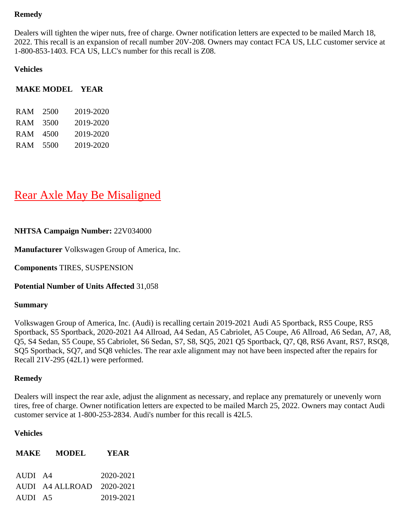#### **Remedy**

Dealers will tighten the wiper nuts, free of charge. Owner notification letters are expected to be mailed March 18, 2022. This recall is an expansion of recall number 20V-208. Owners may contact FCA US, LLC customer service at 1-800-853-1403. FCA US, LLC's number for this recall is Z08.

#### **Vehicles**

#### **MAKE MODEL YEAR**

| <b>RAM</b> | 2500 | 2019-2020 |
|------------|------|-----------|
| <b>RAM</b> | 3500 | 2019-2020 |
| <b>RAM</b> | 4500 | 2019-2020 |
| <b>RAM</b> | 5500 | 2019-2020 |

# [Rear Axle May Be Misaligned](https://www.nhtsa.gov/recalls?nhtsaId=22V034#recalls530)

#### **NHTSA Campaign Number:** 22V034000

**Manufacturer** Volkswagen Group of America, Inc.

**Components** TIRES, SUSPENSION

#### **Potential Number of Units Affected** 31,058

#### **Summary**

Volkswagen Group of America, Inc. (Audi) is recalling certain 2019-2021 Audi A5 Sportback, RS5 Coupe, RS5 Sportback, S5 Sportback, 2020-2021 A4 Allroad, A4 Sedan, A5 Cabriolet, A5 Coupe, A6 Allroad, A6 Sedan, A7, A8, Q5, S4 Sedan, S5 Coupe, S5 Cabriolet, S6 Sedan, S7, S8, SQ5, 2021 Q5 Sportback, Q7, Q8, RS6 Avant, RS7, RSQ8, SQ5 Sportback, SQ7, and SQ8 vehicles. The rear axle alignment may not have been inspected after the repairs for Recall 21V-295 (42L1) were performed.

#### **Remedy**

Dealers will inspect the rear axle, adjust the alignment as necessary, and replace any prematurely or unevenly worn tires, free of charge. Owner notification letters are expected to be mailed March 25, 2022. Owners may contact Audi customer service at 1-800-253-2834. Audi's number for this recall is 42L5.

#### **Vehicles**

| <b>MAKE</b> | <b>MODEL</b>              | <b>YEAR</b> |
|-------------|---------------------------|-------------|
| AUDI A4     |                           | 2020-2021   |
| AUDI A5     | AUDI A4 ALLROAD 2020-2021 | 2019-2021   |
|             |                           |             |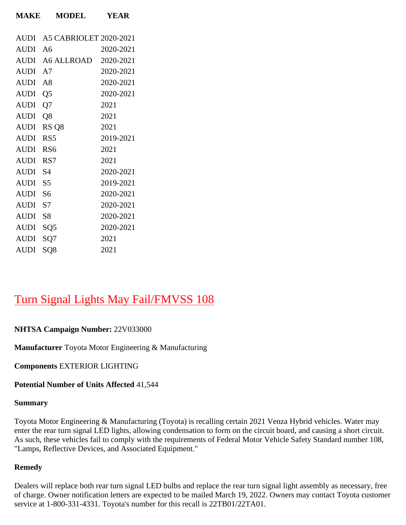| <b>AUDI</b> | A5 CABRIOLET 2020-2021    |           |
|-------------|---------------------------|-----------|
| <b>AUDI</b> | - A6                      | 2020-2021 |
|             |                           |           |
|             | AUDI A6 ALLROAD 2020-2021 |           |
| AUDI A7     |                           | 2020-2021 |
| AUDI A8     |                           | 2020-2021 |
| <b>AUDI</b> | Q <sub>5</sub>            | 2020-2021 |
| AUDI        | Q7                        | 2021      |
| AUDI Q8     |                           | 2021      |
| AUDI        | RS <sub>Q8</sub>          | 2021      |
| <b>AUDI</b> | RS5                       | 2019-2021 |
| <b>AUDI</b> | RS <sub>6</sub>           | 2021      |
| <b>AUDI</b> | RS7                       | 2021      |
| AUDI S4     |                           | 2020-2021 |
| <b>AUDI</b> | S5                        | 2019-2021 |
| AUDI S6     |                           | 2020-2021 |
| <b>AUDI</b> | S7                        | 2020-2021 |
| <b>AUDI</b> | <b>S8</b>                 | 2020-2021 |
| AUDI SQ5    |                           | 2020-2021 |
| AUDI SQ7    |                           | 2021      |
| <b>AUDI</b> | SQ8                       | 2021      |

**MAKE MODEL YEAR**

# [Turn Signal Lights May Fail/FMVSS 108](https://www.nhtsa.gov/recalls?nhtsaId=22V033#recalls530)

### **NHTSA Campaign Number:** 22V033000

**Manufacturer** Toyota Motor Engineering & Manufacturing

**Components** EXTERIOR LIGHTING

**Potential Number of Units Affected** 41,544

#### **Summary**

Toyota Motor Engineering & Manufacturing (Toyota) is recalling certain 2021 Venza Hybrid vehicles. Water may enter the rear turn signal LED lights, allowing condensation to form on the circuit board, and causing a short circuit. As such, these vehicles fail to comply with the requirements of Federal Motor Vehicle Safety Standard number 108, "Lamps, Reflective Devices, and Associated Equipment."

#### **Remedy**

Dealers will replace both rear turn signal LED bulbs and replace the rear turn signal light assembly as necessary, free of charge. Owner notification letters are expected to be mailed March 19, 2022. Owners may contact Toyota customer service at 1-800-331-4331. Toyota's number for this recall is 22TB01/22TA01.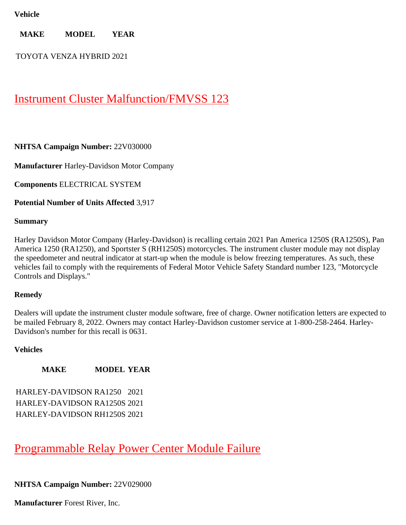#### **Vehicle**

**MAKE MODEL YEAR**

TOYOTA VENZA HYBRID 2021

# [Instrument Cluster Malfunction/FMVSS 123](https://www.nhtsa.gov/recalls?nhtsaId=22V030#recalls530)

#### **NHTSA Campaign Number:** 22V030000

**Manufacturer** Harley-Davidson Motor Company

**Components** ELECTRICAL SYSTEM

**Potential Number of Units Affected** 3,917

#### **Summary**

Harley Davidson Motor Company (Harley-Davidson) is recalling certain 2021 Pan America 1250S (RA1250S), Pan America 1250 (RA1250), and Sportster S (RH1250S) motorcycles. The instrument cluster module may not display the speedometer and neutral indicator at start-up when the module is below freezing temperatures. As such, these vehicles fail to comply with the requirements of Federal Motor Vehicle Safety Standard number 123, "Motorcycle Controls and Displays."

#### **Remedy**

Dealers will update the instrument cluster module software, free of charge. Owner notification letters are expected to be mailed February 8, 2022. Owners may contact Harley-Davidson customer service at 1-800-258-2464. Harley-Davidson's number for this recall is 0631.

#### **Vehicles**

#### **MAKE MODEL YEAR**

HARLEY-DAVIDSON RA1250 2021 HARLEY-DAVIDSON RA1250S 2021 HARLEY-DAVIDSON RH1250S 2021

# [Programmable Relay Power Center Module Failure](https://www.nhtsa.gov/recalls?nhtsaId=22V029#recalls530)

#### **NHTSA Campaign Number:** 22V029000

**Manufacturer** Forest River, Inc.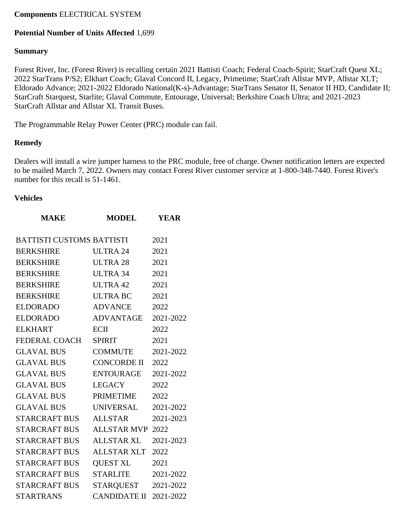#### **Components** ELECTRICAL SYSTEM

#### **Potential Number of Units Affected** 1,699

#### **Summary**

Forest River, Inc. (Forest River) is recalling certain 2021 Battisti Coach; Federal Coach-Spirit; StarCraft Quest XL; 2022 StarTrans P/S2; Elkhart Coach; Glaval Concord II, Legacy, Primetime; StarCraft Allstar MVP, Allstar XLT; Eldorado Advance; 2021-2022 Eldorado National(K-s)-Advantage; StarTrans Senator II, Senator II HD, Candidate II; StarCraft Starquest, Starlite; Glaval Commute, Entourage, Universal; Berkshire Coach Ultra; and 2021-2023 StarCraft Allstar and Allstar XL Transit Buses.

The Programmable Relay Power Center (PRC) module can fail.

#### **Remedy**

Dealers will install a wire jumper harness to the PRC module, free of charge. Owner notification letters are expected to be mailed March 7, 2022. Owners may contact Forest River customer service at 1-800-348-7440. Forest River's number for this recall is 51-1461.

#### **Vehicles**

| <b>MODEL</b>            | <b>YEAR</b>                                                                                                                                                                                                                                                                                        |
|-------------------------|----------------------------------------------------------------------------------------------------------------------------------------------------------------------------------------------------------------------------------------------------------------------------------------------------|
|                         | 2021                                                                                                                                                                                                                                                                                               |
|                         | 2021                                                                                                                                                                                                                                                                                               |
|                         | 2021                                                                                                                                                                                                                                                                                               |
|                         | 2021                                                                                                                                                                                                                                                                                               |
|                         | 2021                                                                                                                                                                                                                                                                                               |
|                         | 2021                                                                                                                                                                                                                                                                                               |
|                         | 2022                                                                                                                                                                                                                                                                                               |
|                         | 2021-2022                                                                                                                                                                                                                                                                                          |
|                         |                                                                                                                                                                                                                                                                                                    |
|                         | 2022                                                                                                                                                                                                                                                                                               |
|                         | 2021                                                                                                                                                                                                                                                                                               |
|                         | 2021-2022                                                                                                                                                                                                                                                                                          |
|                         | 2022                                                                                                                                                                                                                                                                                               |
|                         | 2021-2022                                                                                                                                                                                                                                                                                          |
|                         | 2022                                                                                                                                                                                                                                                                                               |
|                         | 2022                                                                                                                                                                                                                                                                                               |
|                         | 2021-2022                                                                                                                                                                                                                                                                                          |
|                         | 2021-2023                                                                                                                                                                                                                                                                                          |
| <b>ALLSTAR MVP 2022</b> |                                                                                                                                                                                                                                                                                                    |
| <b>ALLSTAR XL</b>       | 2021-2023                                                                                                                                                                                                                                                                                          |
| ALLSTAR XLT             | 2022                                                                                                                                                                                                                                                                                               |
| <b>QUEST XL</b>         | 2021                                                                                                                                                                                                                                                                                               |
| <b>STARLITE</b>         | 2021-2022                                                                                                                                                                                                                                                                                          |
| STARQUEST 2021-2022     |                                                                                                                                                                                                                                                                                                    |
| CANDIDATE II 2021-2022  |                                                                                                                                                                                                                                                                                                    |
|                         | <b>BATTISTI CUSTOMS BATTISTI</b><br><b>ULTRA 24</b><br><b>ULTRA 28</b><br><b>ULTRA 34</b><br><b>ULTRA 42</b><br><b>ULTRA BC</b><br><b>ADVANCE</b><br>ADVANTAGE<br><b>ECII</b><br><b>SPIRIT</b><br>COMMUTE<br>CONCORDE II<br>ENTOURAGE<br><b>LEGACY</b><br>PRIMETIME<br>UNIVERSAL<br><b>ALLSTAR</b> |